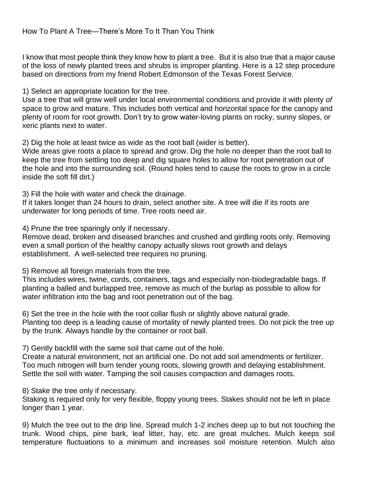I know that most people think they know how to plant a tree. But it is also true that a major cause of the loss of newly planted trees and shrubs is improper planting. Here is a 12 step procedure based on directions from my friend Robert Edmonson of the Texas Forest Service.

1) Select an appropriate location for the tree.

Use a tree that will grow well under local environmental conditions and provide it with plenty *of*  space to grow and mature. This includes both vertical and horizontal space for the canopy and plenty of room for root growth. Don't try to grow water-loving plants on rocky, sunny slopes, or xeric plants next to water.

2) Dig the hole at least twice as wide as the root ball (wider is better).

Wide areas give roots a place to spread and grow. Dig the hole no deeper than the root ball to keep the tree from settling too deep and dig square holes to allow for root penetration out of the hole and into the surrounding soil. (Round holes tend to cause the roots to grow in a circle inside the soft fill dirt.)

3) Fill the hole with water and check the drainage.

If it takes longer than 24 hours to drain, select another site. A tree will die if its roots are underwater for long periods of time. Tree roots need air.

4) Prune the tree sparingly only if necessary.

Remove dead, broken and diseased branches and crushed and girdling roots only. Removing even a small portion of the healthy canopy actually slows root growth and delays establishment. A well-selected tree requires no pruning.

5) Remove all foreign materials from the tree.

This includes wires, twine, cords, containers, tags and especially non-biodegradable bags. If planting a balled and burlapped tree, remove as much of the burlap as possible to allow for water infiltration into the bag and root penetration out of the bag.

6) Set the tree in the hole with the root collar flush or slightly above natural grade. Planting too deep is a leading cause of mortality of newly planted trees. Do not pick the tree up by the trunk. Always handle by the container or root ball.

7) Gently backfill with the same soil that came out of the hole.

Create a natural environment, not an artificial one. Do not add soil amendments or fertilizer. Too much nitrogen will burn tender young roots, slowing growth and delaying establishment. Settle the soil with water. Tamping the soil causes compaction and damages roots.

8) Stake the tree only if necessary.

Staking is required only for very flexible, floppy young trees. Stakes should not be left in place longer than 1 year.

9) Mulch the tree out to the drip line. Spread mulch 1-2 inches deep up to but not touching the trunk. Wood chips, pine bark, leaf litter, hay, etc. are great mulches. Mulch keeps soil temperature fluctuations to a minimum and increases soil moisture retention. Mulch also